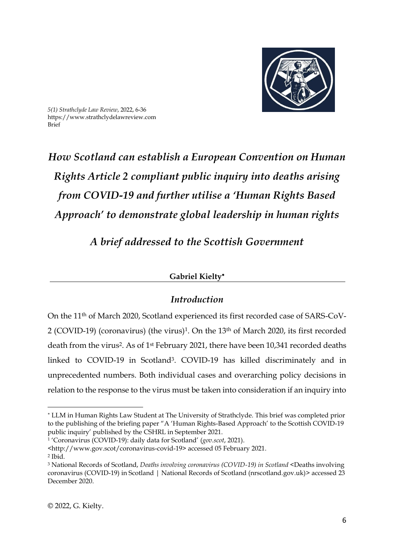

*5(1) Strathclyde Law Review*, 2022, 6-36 https://www.strathclydelawreview.com Brief

# *How Scotland can establish a European Convention on Human Rights Article 2 compliant public inquiry into deaths arising from COVID-19 and further utilise a 'Human Rights Based Approach' to demonstrate global leadership in human rights*

*A brief addressed to the Scottish Government*

## **Gabriel Kielty**

## *Introduction*

On the 11th of March 2020, Scotland experienced its first recorded case of SARS-CoV-2 (COVID-19) (coronavirus) (the virus)<sup>1</sup>. On the 13<sup>th</sup> of March 2020, its first recorded death from the virus<sup>2</sup>. As of 1<sup>st</sup> February 2021, there have been 10,341 recorded deaths linked to COVID-19 in Scotland3. COVID-19 has killed discriminately and in unprecedented numbers. Both individual cases and overarching policy decisions in relation to the response to the virus must be taken into consideration if an inquiry into

1 'Coronavirus (COVID-19): daily data for Scotland' (*gov.scot*, 2021).

LLM in Human Rights Law Student at The University of Strathclyde. This brief was completed prior to the publishing of the briefing paper "A 'Human Rights-Based Approach' to the Scottish COVID-19 public inquiry' published by the CSHRL in September 2021.

<sup>&</sup>lt;http://www.gov.scot/coronavirus-covid-19> accessed 05 February 2021. 2 Ibid.

<sup>3</sup> National Records of Scotland, *Deaths involving coronavirus (COVID-19) in Scotland* [<Deaths involving](https://www.nrscotland.gov.uk/statistics-and-data/statistics/statistics-by-theme/vital-events/general-publications/weekly-and-monthly-data-on-births-and-deaths/deaths-involving-coronavirus-covid-19-in-scotland)  [coronavirus \(COVID-19\) in Scotland | National Records of Scotland \(nrscotland.gov.uk\)>](https://www.nrscotland.gov.uk/statistics-and-data/statistics/statistics-by-theme/vital-events/general-publications/weekly-and-monthly-data-on-births-and-deaths/deaths-involving-coronavirus-covid-19-in-scotland) accessed 23 December 2020.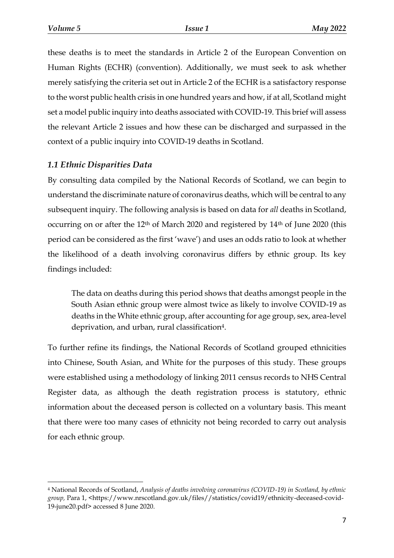$\overline{a}$ 

these deaths is to meet the standards in Article 2 of the European Convention on Human Rights (ECHR) (convention). Additionally, we must seek to ask whether merely satisfying the criteria set out in Article 2 of the ECHR is a satisfactory response to the worst public health crisis in one hundred years and how, if at all, Scotland might set a model public inquiry into deaths associated with COVID-19. This brief will assess the relevant Article 2 issues and how these can be discharged and surpassed in the context of a public inquiry into COVID-19 deaths in Scotland.

## *1.1 Ethnic Disparities Data*

By consulting data compiled by the National Records of Scotland, we can begin to understand the discriminate nature of coronavirus deaths, which will be central to any subsequent inquiry. The following analysis is based on data for *all* deaths in Scotland, occurring on or after the 12<sup>th</sup> of March 2020 and registered by 14<sup>th</sup> of June 2020 (this period can be considered as the first 'wave') and uses an odds ratio to look at whether the likelihood of a death involving coronavirus differs by ethnic group. Its key findings included:

The data on deaths during this period shows that deaths amongst people in the South Asian ethnic group were almost twice as likely to involve COVID-19 as deaths in the White ethnic group, after accounting for age group, sex, area-level deprivation, and urban, rural classification4.

To further refine its findings, the National Records of Scotland grouped ethnicities into Chinese, South Asian, and White for the purposes of this study. These groups were established using a methodology of linking 2011 census records to NHS Central Register data, as although the death registration process is statutory, ethnic information about the deceased person is collected on a voluntary basis. This meant that there were too many cases of ethnicity not being recorded to carry out analysis for each ethnic group.

<sup>4</sup> National Records of Scotland, *Analysis of deaths involving coronavirus (COVID-19) in Scotland, by ethnic group,* Para 1, <https://www.nrscotland.gov.uk/files//statistics/covid19/ethnicity-deceased-covid-19-june20.pdf> accessed 8 June 2020.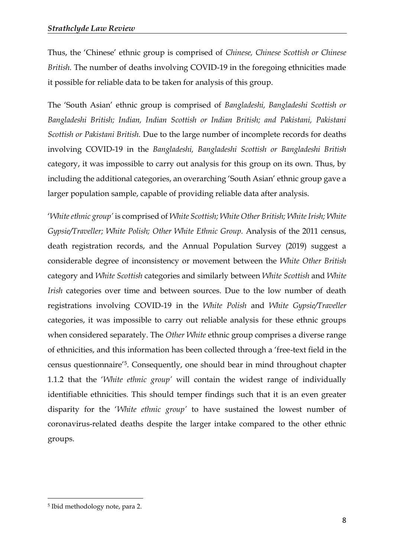Thus, the 'Chinese' ethnic group is comprised of *Chinese, Chinese Scottish or Chinese British.* The number of deaths involving COVID-19 in the foregoing ethnicities made it possible for reliable data to be taken for analysis of this group.

The 'South Asian' ethnic group is comprised of *Bangladeshi, Bangladeshi Scottish or Bangladeshi British; Indian, Indian Scottish or Indian British; and Pakistani, Pakistani Scottish or Pakistani British.* Due to the large number of incomplete records for deaths involving COVID-19 in the *Bangladeshi, Bangladeshi Scottish or Bangladeshi British* category, it was impossible to carry out analysis for this group on its own. Thus, by including the additional categories, an overarching 'South Asian' ethnic group gave a larger population sample, capable of providing reliable data after analysis.

'*White ethnic group'* is comprised of *White Scottish; White Other British; White Irish; White Gypsie/Traveller; White Polish; Other White Ethnic Group.* Analysis of the 2011 census, death registration records, and the Annual Population Survey (2019) suggest a considerable degree of inconsistency or movement between the *White Other British*  category and *White Scottish* categories and similarly between *White Scottish* and *White Irish* categories over time and between sources. Due to the low number of death registrations involving COVID-19 in the *White Polish* and *White Gypsie/Traveller*  categories, it was impossible to carry out reliable analysis for these ethnic groups when considered separately. The *Other White* ethnic group comprises a diverse range of ethnicities, and this information has been collected through a 'free-text field in the census questionnaire'5. Consequently, one should bear in mind throughout chapter 1.1.2 that the '*White ethnic group'* will contain the widest range of individually identifiable ethnicities. This should temper findings such that it is an even greater disparity for the '*White ethnic group'* to have sustained the lowest number of coronavirus-related deaths despite the larger intake compared to the other ethnic groups.

<sup>5</sup> Ibid methodology note, para 2.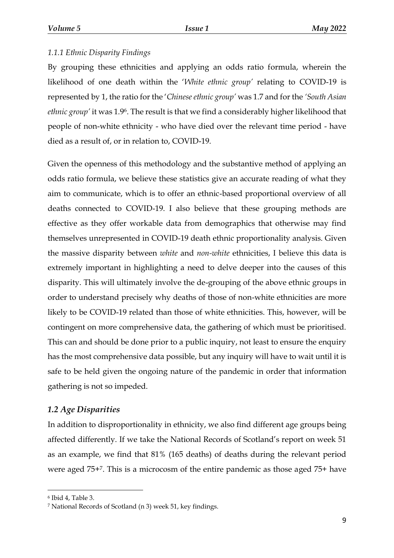## *1.1.1 Ethnic Disparity Findings*

By grouping these ethnicities and applying an odds ratio formula, wherein the likelihood of one death within the '*White ethnic group'* relating to COVID-19 is represented by 1, the ratio for the '*Chinese ethnic group'* was 1.7 and for the *'South Asian ethnic group'* it was 1.96. The result is that we find a considerably higher likelihood that people of non-white ethnicity - who have died over the relevant time period - have died as a result of, or in relation to, COVID-19.

Given the openness of this methodology and the substantive method of applying an odds ratio formula, we believe these statistics give an accurate reading of what they aim to communicate, which is to offer an ethnic-based proportional overview of all deaths connected to COVID-19. I also believe that these grouping methods are effective as they offer workable data from demographics that otherwise may find themselves unrepresented in COVID-19 death ethnic proportionality analysis. Given the massive disparity between *white* and *non-white* ethnicities, I believe this data is extremely important in highlighting a need to delve deeper into the causes of this disparity. This will ultimately involve the de-grouping of the above ethnic groups in order to understand precisely why deaths of those of non-white ethnicities are more likely to be COVID-19 related than those of white ethnicities. This, however, will be contingent on more comprehensive data, the gathering of which must be prioritised. This can and should be done prior to a public inquiry, not least to ensure the enquiry has the most comprehensive data possible, but any inquiry will have to wait until it is safe to be held given the ongoing nature of the pandemic in order that information gathering is not so impeded.

## *1.2 Age Disparities*

In addition to disproportionality in ethnicity, we also find different age groups being affected differently. If we take the National Records of Scotland's report on week 51 as an example, we find that 81% (165 deaths) of deaths during the relevant period were aged 75+7. This is a microcosm of the entire pandemic as those aged 75+ have

<sup>6</sup> Ibid 4, Table 3.

<sup>7</sup> National Records of Scotland (n 3) week 51, key findings.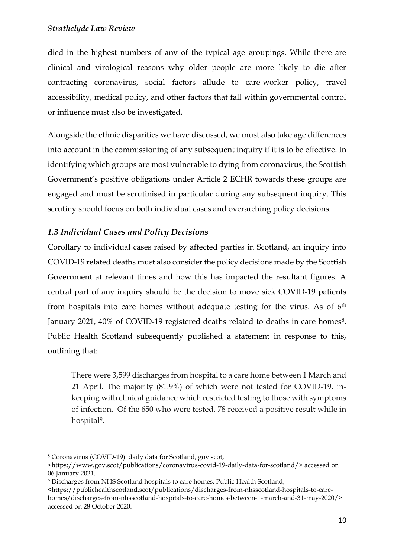died in the highest numbers of any of the typical age groupings. While there are clinical and virological reasons why older people are more likely to die after contracting coronavirus, social factors allude to care-worker policy, travel accessibility, medical policy, and other factors that fall within governmental control or influence must also be investigated.

Alongside the ethnic disparities we have discussed, we must also take age differences into account in the commissioning of any subsequent inquiry if it is to be effective. In identifying which groups are most vulnerable to dying from coronavirus, the Scottish Government's positive obligations under Article 2 ECHR towards these groups are engaged and must be scrutinised in particular during any subsequent inquiry. This scrutiny should focus on both individual cases and overarching policy decisions.

# *1.3 Individual Cases and Policy Decisions*

Corollary to individual cases raised by affected parties in Scotland, an inquiry into COVID-19 related deaths must also consider the policy decisions made by the Scottish Government at relevant times and how this has impacted the resultant figures. A central part of any inquiry should be the decision to move sick COVID-19 patients from hospitals into care homes without adequate testing for the virus. As of 6th January 2021, 40% of COVID-19 registered deaths related to deaths in care homes<sup>8</sup>. Public Health Scotland subsequently published a statement in response to this, outlining that:

There were 3,599 discharges from hospital to a care home between 1 March and 21 April. The majority (81.9%) of which were not tested for COVID-19, inkeeping with clinical guidance which restricted testing to those with symptoms of infection. Of the 650 who were tested, 78 received a positive result while in hospital9.

<sup>8</sup> Coronavirus (COVID-19): daily data for Scotland, gov.scot,

[<sup>&</sup>lt;https://www.gov.scot/publications/coronavirus-covid-19-daily-data-for-scotland/>](https://www.gov.scot/publications/coronavirus-covid-19-daily-data-for-scotland/) accessed on 06 January 2021.

<sup>9</sup> Discharges from NHS Scotland hospitals to care homes, Public Health Scotland,

[<sup>&</sup>lt;https://publichealthscotland.scot/publications/discharges-from-nhsscotland-hospitals-to-care](https://publichealthscotland.scot/publications/discharges-from-nhsscotland-hospitals-to-care-homes/discharges-from-nhsscotland-hospitals-to-care-homes-between-1-march-and-31-may-2020/)[homes/discharges-from-nhsscotland-hospitals-to-care-homes-between-1-march-and-31-may-2020/>](https://publichealthscotland.scot/publications/discharges-from-nhsscotland-hospitals-to-care-homes/discharges-from-nhsscotland-hospitals-to-care-homes-between-1-march-and-31-may-2020/) accessed on 28 October 2020.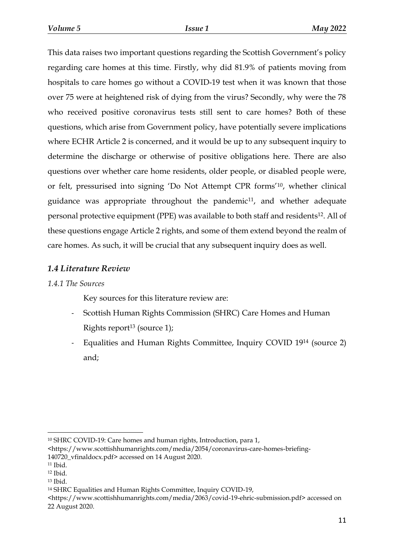This data raises two important questions regarding the Scottish Government's policy regarding care homes at this time. Firstly, why did 81.9% of patients moving from hospitals to care homes go without a COVID-19 test when it was known that those over 75 were at heightened risk of dying from the virus? Secondly, why were the 78 who received positive coronavirus tests still sent to care homes? Both of these questions, which arise from Government policy, have potentially severe implications where ECHR Article 2 is concerned, and it would be up to any subsequent inquiry to determine the discharge or otherwise of positive obligations here. There are also questions over whether care home residents, older people, or disabled people were, or felt, pressurised into signing 'Do Not Attempt CPR forms'10, whether clinical guidance was appropriate throughout the pandemic<sup>11</sup>, and whether adequate personal protective equipment (PPE) was available to both staff and residents <sup>12</sup>. All of these questions engage Article 2 rights, and some of them extend beyond the realm of care homes. As such, it will be crucial that any subsequent inquiry does as well.

## *1.4 Literature Review*

## *1.4.1 The Sources*

Key sources for this literature review are:

- Scottish Human Rights Commission (SHRC) Care Homes and Human Rights report<sup>13</sup> (source 1);
- Equalities and Human Rights Committee, Inquiry COVID 19<sup>14</sup> (source 2) and;

 $\overline{a}$ <sup>10</sup> SHRC COVID-19: Care homes and human rights, Introduction, para 1,

[<sup>&</sup>lt;https://www.scottishhumanrights.com/media/2054/coronavirus-care-homes-briefing-](https://www.scottishhumanrights.com/media/2054/coronavirus-care-homes-briefing-140720_vfinaldocx.pdf)[140720\\_vfinaldocx.pdf>](https://www.scottishhumanrights.com/media/2054/coronavirus-care-homes-briefing-140720_vfinaldocx.pdf) accessed on 14 August 2020.

<sup>11</sup> Ibid.

<sup>12</sup> Ibid.

<sup>13</sup> Ibid.

<sup>14</sup> SHRC Equalities and Human Rights Committee, Inquiry COVID-19,

[<sup>&</sup>lt;https://www.scottishhumanrights.com/media/2063/covid-19-ehric-submission.pdf>](https://www.scottishhumanrights.com/media/2063/covid-19-ehric-submission.pdf) accessed on 22 August 2020.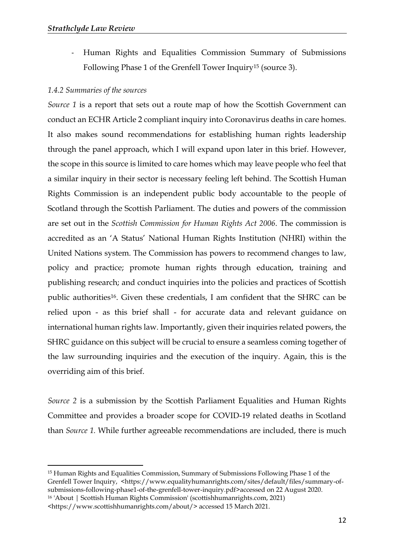- Human Rights and Equalities Commission Summary of Submissions Following Phase 1 of the Grenfell Tower Inquiry<sup>15</sup> (source 3).

## *1.4.2 Summaries of the sources*

*Source 1* is a report that sets out a route map of how the Scottish Government can conduct an ECHR Article 2 compliant inquiry into Coronavirus deaths in care homes. It also makes sound recommendations for establishing human rights leadership through the panel approach, which I will expand upon later in this brief. However, the scope in this source is limited to care homes which may leave people who feel that a similar inquiry in their sector is necessary feeling left behind. The Scottish Human Rights Commission is an independent public body accountable to the people of Scotland through the Scottish Parliament. The duties and powers of the commission are set out in the *Scottish Commission for Human Rights Act 2006*. The commission is accredited as an 'A Status' National Human Rights Institution (NHRI) within the United Nations system. The Commission has powers to recommend changes to law, policy and practice; promote human rights through education, training and publishing research; and conduct inquiries into the policies and practices of Scottish public authorities16. Given these credentials, I am confident that the SHRC can be relied upon - as this brief shall - for accurate data and relevant guidance on international human rights law. Importantly, given their inquiries related powers, the SHRC guidance on this subject will be crucial to ensure a seamless coming together of the law surrounding inquiries and the execution of the inquiry. Again, this is the overriding aim of this brief.

*Source 2* is a submission by the Scottish Parliament Equalities and Human Rights Committee and provides a broader scope for COVID-19 related deaths in Scotland than *Source 1.* While further agreeable recommendations are included, there is much

<sup>15</sup> Human Rights and Equalities Commission, Summary of Submissions Following Phase 1 of the Grenfell Tower Inquiry, <https://www.equalityhumanrights.com/sites/default/files/summary-ofsubmissions-following-phase1-of-the-grenfell-tower-inquiry.pdf>accessed on 22 August 2020. <sup>16</sup> 'About | Scottish Human Rights Commission' (scottishhumanrights.com, 2021)

<sup>&</sup>lt;https://www.scottishhumanrights.com/about/> accessed 15 March 2021.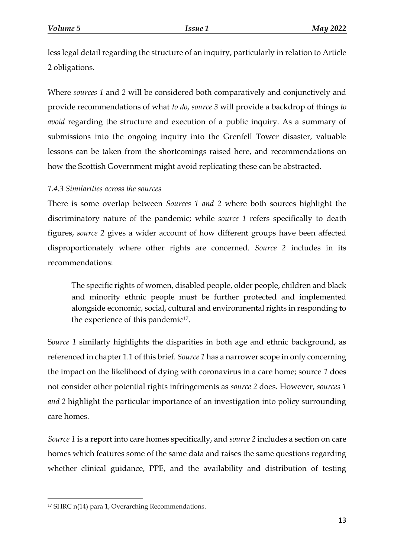less legal detail regarding the structure of an inquiry, particularly in relation to Article 2 obligations.

Where *sources 1* and *2* will be considered both comparatively and conjunctively and provide recommendations of what *to do*, *source 3* will provide a backdrop of things *to avoid* regarding the structure and execution of a public inquiry. As a summary of submissions into the ongoing inquiry into the Grenfell Tower disaster, valuable lessons can be taken from the shortcomings raised here, and recommendations on how the Scottish Government might avoid replicating these can be abstracted.

## *1.4.3 Similarities across the sources*

There is some overlap between *Sources 1 and 2* where both sources highlight the discriminatory nature of the pandemic; while *source 1* refers specifically to death figures, *source 2* gives a wider account of how different groups have been affected disproportionately where other rights are concerned. *Source 2* includes in its recommendations:

The specific rights of women, disabled people, older people, children and black and minority ethnic people must be further protected and implemented alongside economic, social, cultural and environmental rights in responding to the experience of this pandemic<sup>17</sup>.

S*ource 1* similarly highlights the disparities in both age and ethnic background, as referenced in chapter 1.1 of this brief. *Source 1* has a narrower scope in only concerning the impact on the likelihood of dying with coronavirus in a care home; source *1* does not consider other potential rights infringements as *source 2* does. However, *sources 1 and 2* highlight the particular importance of an investigation into policy surrounding care homes.

*Source 1* is a report into care homes specifically, and *source 2* includes a section on care homes which features some of the same data and raises the same questions regarding whether clinical guidance, PPE, and the availability and distribution of testing

<sup>&</sup>lt;sup>17</sup> SHRC n(14) para 1, Overarching Recommendations.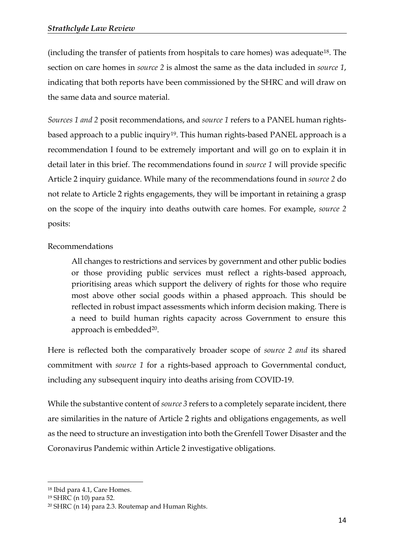(including the transfer of patients from hospitals to care homes) was adequate18. The section on care homes in *source 2* is almost the same as the data included in *source 1*, indicating that both reports have been commissioned by the SHRC and will draw on the same data and source material.

*Sources 1 and 2* posit recommendations, and *source 1* refers to a PANEL human rightsbased approach to a public inquiry<sup>19</sup>. This human rights-based PANEL approach is a recommendation I found to be extremely important and will go on to explain it in detail later in this brief. The recommendations found in *source 1* will provide specific Article 2 inquiry guidance. While many of the recommendations found in *source 2* do not relate to Article 2 rights engagements, they will be important in retaining a grasp on the scope of the inquiry into deaths outwith care homes. For example, *source 2*  posits:

## Recommendations

All changes to restrictions and services by government and other public bodies or those providing public services must reflect a rights-based approach, prioritising areas which support the delivery of rights for those who require most above other social goods within a phased approach. This should be reflected in robust impact assessments which inform decision making. There is a need to build human rights capacity across Government to ensure this approach is embedded<sup>20</sup>.

Here is reflected both the comparatively broader scope of *source 2 and* its shared commitment with *source 1* for a rights-based approach to Governmental conduct, including any subsequent inquiry into deaths arising from COVID-19.

While the substantive content of *source 3* refers to a completely separate incident, there are similarities in the nature of Article 2 rights and obligations engagements, as well as the need to structure an investigation into both the Grenfell Tower Disaster and the Coronavirus Pandemic within Article 2 investigative obligations.

<sup>18</sup> Ibid para 4.1, Care Homes.

<sup>19</sup> SHRC (n 10) para 52.

<sup>20</sup> SHRC (n 14) para 2.3. Routemap and Human Rights.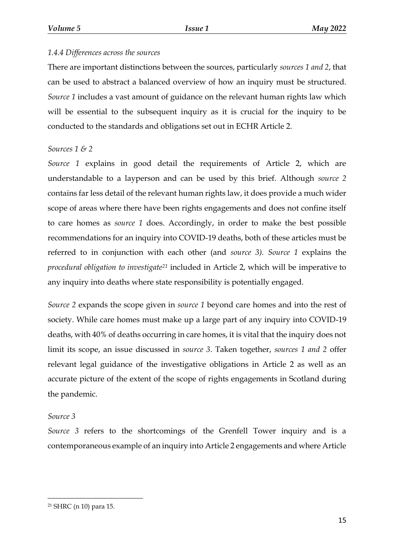#### *1.4.4 Differences across the sources*

There are important distinctions between the sources, particularly *sources 1 and 2*, that can be used to abstract a balanced overview of how an inquiry must be structured. *Source 1* includes a vast amount of guidance on the relevant human rights law which will be essential to the subsequent inquiry as it is crucial for the inquiry to be conducted to the standards and obligations set out in ECHR Article 2.

#### *Sources 1 & 2*

*Source 1* explains in good detail the requirements of Article 2, which are understandable to a layperson and can be used by this brief. Although *source 2* contains far less detail of the relevant human rights law, it does provide a much wider scope of areas where there have been rights engagements and does not confine itself to care homes as *source 1* does. Accordingly, in order to make the best possible recommendations for an inquiry into COVID-19 deaths, both of these articles must be referred to in conjunction with each other (and *source 3). Source 1* explains the *procedural obligation to investigate<sup>21</sup>* included in Article 2, which will be imperative to any inquiry into deaths where state responsibility is potentially engaged.

*Source 2* expands the scope given in *source 1* beyond care homes and into the rest of society. While care homes must make up a large part of any inquiry into COVID-19 deaths, with 40% of deaths occurring in care homes, it is vital that the inquiry does not limit its scope, an issue discussed in *source 3*. Taken together, *sources 1 and 2* offer relevant legal guidance of the investigative obligations in Article 2 as well as an accurate picture of the extent of the scope of rights engagements in Scotland during the pandemic.

#### *Source 3*

 $\overline{a}$ 

*Source 3* refers to the shortcomings of the Grenfell Tower inquiry and is a contemporaneous example of an inquiry into Article 2 engagements and where Article

<sup>21</sup> SHRC (n 10) para 15.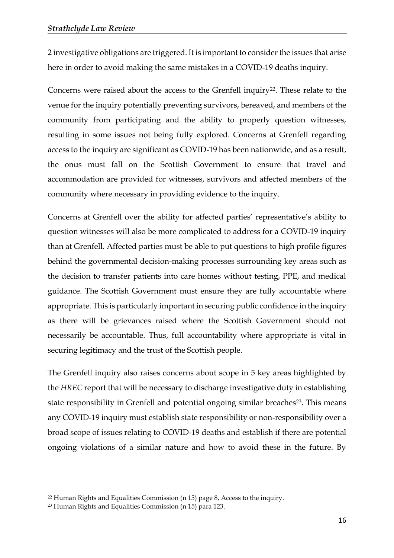2 investigative obligations are triggered. It is important to consider the issues that arise here in order to avoid making the same mistakes in a COVID-19 deaths inquiry.

Concerns were raised about the access to the Grenfell inquiry<sup>22</sup>. These relate to the venue for the inquiry potentially preventing survivors, bereaved, and members of the community from participating and the ability to properly question witnesses, resulting in some issues not being fully explored. Concerns at Grenfell regarding access to the inquiry are significant as COVID-19 has been nationwide, and as a result, the onus must fall on the Scottish Government to ensure that travel and accommodation are provided for witnesses, survivors and affected members of the community where necessary in providing evidence to the inquiry.

Concerns at Grenfell over the ability for affected parties' representative's ability to question witnesses will also be more complicated to address for a COVID-19 inquiry than at Grenfell. Affected parties must be able to put questions to high profile figures behind the governmental decision-making processes surrounding key areas such as the decision to transfer patients into care homes without testing, PPE, and medical guidance. The Scottish Government must ensure they are fully accountable where appropriate. This is particularly important in securing public confidence in the inquiry as there will be grievances raised where the Scottish Government should not necessarily be accountable. Thus, full accountability where appropriate is vital in securing legitimacy and the trust of the Scottish people.

The Grenfell inquiry also raises concerns about scope in 5 key areas highlighted by the *HREC* report that will be necessary to discharge investigative duty in establishing state responsibility in Grenfell and potential ongoing similar breaches<sup>23</sup>. This means any COVID-19 inquiry must establish state responsibility or non-responsibility over a broad scope of issues relating to COVID-19 deaths and establish if there are potential ongoing violations of a similar nature and how to avoid these in the future. By

<sup>22</sup> Human Rights and Equalities Commission (n 15) page 8, Access to the inquiry.

<sup>23</sup> Human Rights and Equalities Commission (n 15) para 123.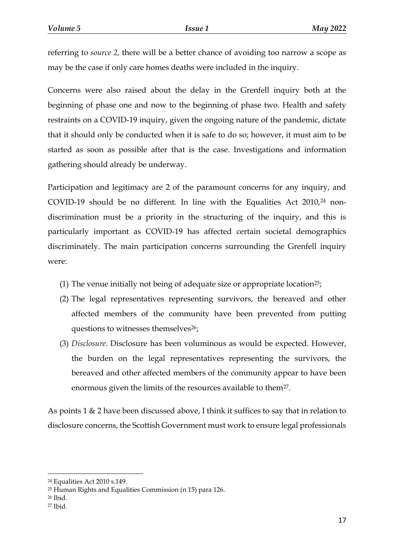referring to *source 2,* there will be a better chance of avoiding too narrow a scope as may be the case if only care homes deaths were included in the inquiry.

Concerns were also raised about the delay in the Grenfell inquiry both at the beginning of phase one and now to the beginning of phase two. Health and safety restraints on a COVID-19 inquiry, given the ongoing nature of the pandemic, dictate that it should only be conducted when it is safe to do so; however, it must aim to be started as soon as possible after that is the case. Investigations and information gathering should already be underway.

Participation and legitimacy are 2 of the paramount concerns for any inquiry, and COVID-19 should be no different. In line with the Equalities Act  $2010<sup>24</sup>$  nondiscrimination must be a priority in the structuring of the inquiry, and this is particularly important as COVID-19 has affected certain societal demographics discriminately. The main participation concerns surrounding the Grenfell inquiry were:

- (1) The venue initially not being of adequate size or appropriate location<sup>25</sup>;
- (2) The legal representatives representing survivors, the bereaved and other affected members of the community have been prevented from putting questions to witnesses themselves<sup>26</sup>;
- (3) *Disclosure*. Disclosure has been voluminous as would be expected. However, the burden on the legal representatives representing the survivors, the bereaved and other affected members of the community appear to have been enormous given the limits of the resources available to them<sup>27</sup>.

As points 1 & 2 have been discussed above, I think it suffices to say that in relation to disclosure concerns, the Scottish Government must work to ensure legal professionals

<sup>26</sup> Ibid.

<sup>24</sup> Equalities Act 2010 s.149.

<sup>25</sup> Human Rights and Equalities Commission (n 15) para 126.

<sup>27</sup> Ibid.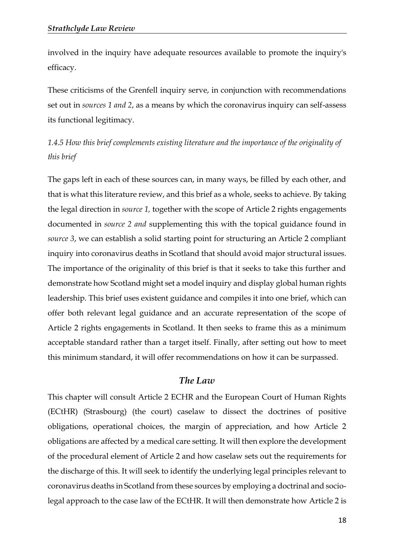involved in the inquiry have adequate resources available to promote the inquiry's efficacy.

These criticisms of the Grenfell inquiry serve, in conjunction with recommendations set out in *sources 1 and 2*, as a means by which the coronavirus inquiry can self-assess its functional legitimacy.

*1.4.5 How this brief complements existing literature and the importance of the originality of this brief*

The gaps left in each of these sources can, in many ways, be filled by each other, and that is what this literature review, and this brief as a whole, seeks to achieve. By taking the legal direction in *source 1,* together with the scope of Article 2 rights engagements documented in *source 2 and* supplementing this with the topical guidance found in *source 3*, we can establish a solid starting point for structuring an Article 2 compliant inquiry into coronavirus deaths in Scotland that should avoid major structural issues. The importance of the originality of this brief is that it seeks to take this further and demonstrate how Scotland might set a model inquiry and display global human rights leadership. This brief uses existent guidance and compiles it into one brief, which can offer both relevant legal guidance and an accurate representation of the scope of Article 2 rights engagements in Scotland. It then seeks to frame this as a minimum acceptable standard rather than a target itself. Finally, after setting out how to meet this minimum standard, it will offer recommendations on how it can be surpassed.

#### *The Law*

This chapter will consult Article 2 ECHR and the European Court of Human Rights (ECtHR) (Strasbourg) (the court) caselaw to dissect the doctrines of positive obligations, operational choices, the margin of appreciation, and how Article 2 obligations are affected by a medical care setting. It will then explore the development of the procedural element of Article 2 and how caselaw sets out the requirements for the discharge of this. It will seek to identify the underlying legal principles relevant to coronavirus deaths in Scotland from these sources by employing a doctrinal and sociolegal approach to the case law of the ECtHR. It will then demonstrate how Article 2 is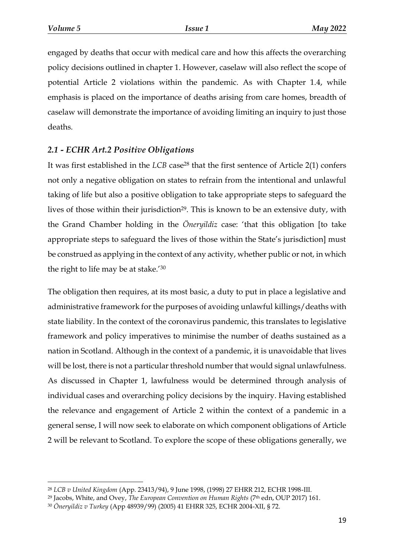$\overline{a}$ 

engaged by deaths that occur with medical care and how this affects the overarching policy decisions outlined in chapter 1. However, caselaw will also reflect the scope of potential Article 2 violations within the pandemic. As with Chapter 1.4, while emphasis is placed on the importance of deaths arising from care homes, breadth of caselaw will demonstrate the importance of avoiding limiting an inquiry to just those deaths.

## *2.1 - ECHR Art.2 Positive Obligations*

It was first established in the *LCB* case<sup>28</sup> that the first sentence of Article 2(1) confers not only a negative obligation on states to refrain from the intentional and unlawful taking of life but also a positive obligation to take appropriate steps to safeguard the lives of those within their jurisdiction<sup>29</sup>. This is known to be an extensive duty, with the Grand Chamber holding in the *Öneryildiz* case: 'that this obligation [to take appropriate steps to safeguard the lives of those within the State's jurisdiction] must be construed as applying in the context of any activity, whether public or not, in which the right to life may be at stake.'<sup>30</sup>

The obligation then requires, at its most basic, a duty to put in place a legislative and administrative framework for the purposes of avoiding unlawful killings/deaths with state liability. In the context of the coronavirus pandemic, this translates to legislative framework and policy imperatives to minimise the number of deaths sustained as a nation in Scotland. Although in the context of a pandemic, it is unavoidable that lives will be lost, there is not a particular threshold number that would signal unlawfulness. As discussed in Chapter 1, lawfulness would be determined through analysis of individual cases and overarching policy decisions by the inquiry. Having established the relevance and engagement of Article 2 within the context of a pandemic in a general sense, I will now seek to elaborate on which component obligations of Article 2 will be relevant to Scotland. To explore the scope of these obligations generally, we

<sup>28</sup> *LCB v United Kingdom* (App. 23413/94), 9 June 1998, (1998) 27 EHRR 212, ECHR 1998-III.

<sup>&</sup>lt;sup>29</sup> Jacobs, White, and Ovey, *The European Convention on Human Rights* (7<sup>th</sup> edn, OUP 2017) 161.

<sup>30</sup> *Öneryildiz v Turkey* (App 48939/99) (2005) 41 EHRR 325, ECHR 2004-XII, § 72.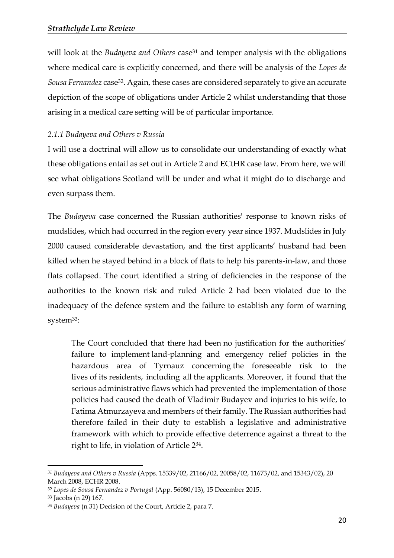will look at the *Budayeva and Others* case<sup>31</sup> and temper analysis with the obligations where medical care is explicitly concerned, and there will be analysis of the *Lopes de Sousa Fernandez* case32. Again, these cases are considered separately to give an accurate depiction of the scope of obligations under Article 2 whilst understanding that those arising in a medical care setting will be of particular importance.

## *2.1.1 Budayeva and Others v Russia*

I will use a doctrinal will allow us to consolidate our understanding of exactly what these obligations entail as set out in Article 2 and ECtHR case law. From here, we will see what obligations Scotland will be under and what it might do to discharge and even surpass them.

The *Budayeva* case concerned the Russian authorities' response to known risks of mudslides, which had occurred in the region every year since 1937. Mudslides in July 2000 caused considerable devastation, and the first applicants' husband had been killed when he stayed behind in a block of flats to help his parents-in-law, and those flats collapsed. The court identified a string of deficiencies in the response of the authorities to the known risk and ruled Article 2 had been violated due to the inadequacy of the defence system and the failure to establish any form of warning system33:

The Court concluded that there had been no justification for the authorities' failure to implement land-planning and emergency relief policies in the hazardous area of Tyrnauz concerning the foreseeable risk to the lives of its residents, including all the applicants. Moreover, it found that the serious administrative flaws which had prevented the implementation of those policies had caused the death of Vladimir Budayev and injuries to his wife, to Fatima Atmurzayeva and members of their family. The Russian authorities had therefore failed in their duty to establish a legislative and administrative framework with which to provide effective deterrence against a threat to the right to life, in violation of Article 234.

*<sup>31</sup> Budayeva and Others v Russia* (Apps. 15339/02, 21166/02, 20058/02, 11673/02, and 15343/02), 20 March 2008, ECHR 2008.

<sup>32</sup> *Lopes de Sousa Fernandez v Portugal* (App. 56080/13), 15 December 2015.

<sup>33</sup> Jacobs (n 29) 167.

<sup>34</sup> *Budayeva* (n 31) Decision of the Court, Article 2, para 7.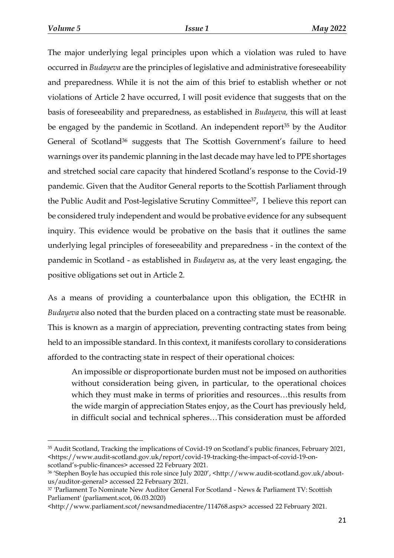The major underlying legal principles upon which a violation was ruled to have occurred in *Budayeva* are the principles of legislative and administrative foreseeability and preparedness. While it is not the aim of this brief to establish whether or not violations of Article 2 have occurred, I will posit evidence that suggests that on the basis of foreseeability and preparedness, as established in *Budayeva,* this will at least be engaged by the pandemic in Scotland. An independent report<sup>35</sup> by the Auditor General of Scotland<sup>36</sup> suggests that The Scottish Government's failure to heed warnings over its pandemic planning in the last decade may have led to PPE shortages and stretched social care capacity that hindered Scotland's response to the Covid-19 pandemic. Given that the Auditor General reports to the Scottish Parliament through the Public Audit and Post-legislative Scrutiny Committee37, I believe this report can be considered truly independent and would be probative evidence for any subsequent inquiry. This evidence would be probative on the basis that it outlines the same underlying legal principles of foreseeability and preparedness - in the context of the pandemic in Scotland - as established in *Budayeva* as, at the very least engaging, the positive obligations set out in Article 2.

As a means of providing a counterbalance upon this obligation, the ECtHR in *Budayeva* also noted that the burden placed on a contracting state must be reasonable. This is known as a margin of appreciation, preventing contracting states from being held to an impossible standard. In this context, it manifests corollary to considerations afforded to the contracting state in respect of their operational choices:

An impossible or disproportionate burden must not be imposed on authorities without consideration being given, in particular, to the operational choices which they must make in terms of priorities and resources…this results from the wide margin of appreciation States enjoy, as the Court has previously held, in difficult social and technical spheres…This consideration must be afforded

<sup>35</sup> Audit Scotland, Tracking the implications of Covid-19 on Scotland's public finances, February 2021, <https://www.audit-scotland.gov.uk/report/covid-19-tracking-the-impact-of-covid-19-on-

scotland's-public-finances> accessed 22 February 2021.

<sup>36</sup> 'Stephen Boyle has occupied this role since July 2020', <http://www.audit-scotland.gov.uk/aboutus/auditor-general> accessed 22 February 2021.

<sup>37</sup> 'Parliament To Nominate New Auditor General For Scotland - News & Parliament TV: Scottish Parliament' (parliament.scot, 06.03.2020)

<sup>&</sup>lt;http://www.parliament.scot/newsandmediacentre/114768.aspx> accessed 22 February 2021.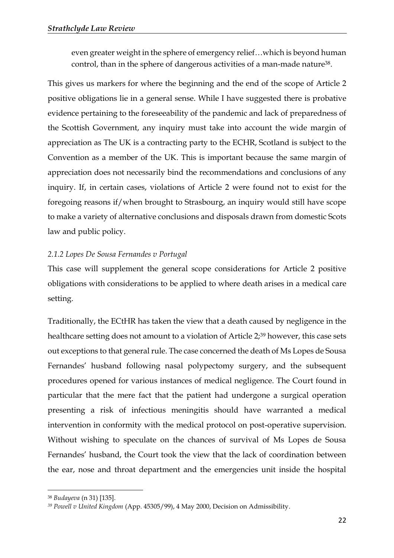even greater weight in the sphere of emergency relief…which is beyond human control, than in the sphere of dangerous activities of a man-made nature<sup>38</sup>.

This gives us markers for where the beginning and the end of the scope of Article 2 positive obligations lie in a general sense. While I have suggested there is probative evidence pertaining to the foreseeability of the pandemic and lack of preparedness of the Scottish Government, any inquiry must take into account the wide margin of appreciation as The UK is a contracting party to the ECHR, Scotland is subject to the Convention as a member of the UK. This is important because the same margin of appreciation does not necessarily bind the recommendations and conclusions of any inquiry. If, in certain cases, violations of Article 2 were found not to exist for the foregoing reasons if/when brought to Strasbourg, an inquiry would still have scope to make a variety of alternative conclusions and disposals drawn from domestic Scots law and public policy.

## *2.1.2 Lopes De Sousa Fernandes v Portugal*

This case will supplement the general scope considerations for Article 2 positive obligations with considerations to be applied to where death arises in a medical care setting.

Traditionally, the ECtHR has taken the view that a death caused by negligence in the healthcare setting does not amount to a violation of Article 2;<sup>39</sup> however, this case sets out exceptions to that general rule. The case concerned the death of Ms Lopes de Sousa Fernandes' husband following nasal polypectomy surgery, and the subsequent procedures opened for various instances of medical negligence. The Court found in particular that the mere fact that the patient had undergone a surgical operation presenting a risk of infectious meningitis should have warranted a medical intervention in conformity with the medical protocol on post-operative supervision. Without wishing to speculate on the chances of survival of Ms Lopes de Sousa Fernandes' husband, the Court took the view that the lack of coordination between the ear, nose and throat department and the emergencies unit inside the hospital

<sup>38</sup> *Budayeva* (n 31) [135].

*<sup>39</sup> Powell v United Kingdom* (App. 45305/99), 4 May 2000, Decision on Admissibility.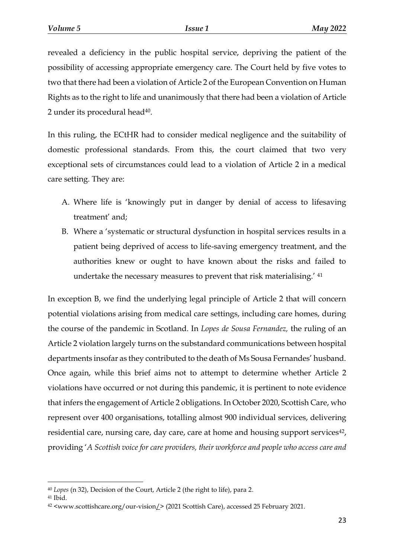revealed a deficiency in the public hospital service, depriving the patient of the possibility of accessing appropriate emergency care. The Court held by five votes to two that there had been a violation of Article 2 of the European Convention on Human Rights as to the right to life and unanimously that there had been a violation of Article 2 under its procedural head<sup>40</sup>.

In this ruling, the ECtHR had to consider medical negligence and the suitability of domestic professional standards. From this, the court claimed that two very exceptional sets of circumstances could lead to a violation of Article 2 in a medical care setting. They are:

- A. Where life is 'knowingly put in danger by denial of access to lifesaving treatment' and;
- B. Where a 'systematic or structural dysfunction in hospital services results in a patient being deprived of access to life-saving emergency treatment, and the authorities knew or ought to have known about the risks and failed to undertake the necessary measures to prevent that risk materialising.' <sup>41</sup>

In exception B, we find the underlying legal principle of Article 2 that will concern potential violations arising from medical care settings, including care homes, during the course of the pandemic in Scotland. In *Lopes de Sousa Fernandez,* the ruling of an Article 2 violation largely turns on the substandard communications between hospital departments insofar as they contributed to the death of Ms Sousa Fernandes' husband. Once again, while this brief aims not to attempt to determine whether Article 2 violations have occurred or not during this pandemic, it is pertinent to note evidence that infers the engagement of Article 2 obligations. In October 2020, Scottish Care, who represent over 400 organisations, totalling almost 900 individual services, delivering residential care, nursing care, day care, care at home and housing support services<sup>42</sup>, providing '*A Scottish voice for care providers, their workforce and people who access care and* 

<sup>40</sup> *Lopes* (n 32), Decision of the Court, Article 2 (the right to life), para 2.

<sup>41</sup> Ibid.

<sup>42</sup> [<www.scottishcare.org/our-vision/>](http://www.scottishcare.org/our-vision/) (2021 Scottish Care), accessed 25 February 2021.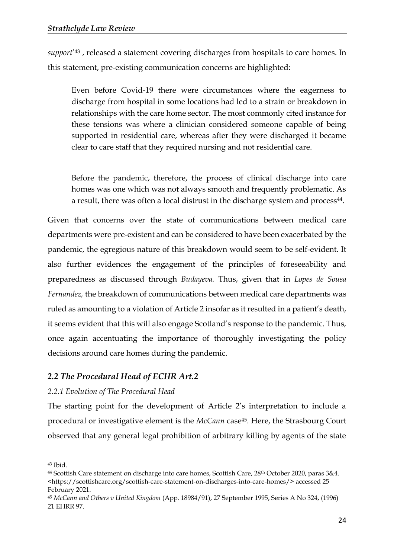*support*' <sup>43</sup> , released a statement covering discharges from hospitals to care homes. In this statement, pre-existing communication concerns are highlighted:

Even before Covid-19 there were circumstances where the eagerness to discharge from hospital in some locations had led to a strain or breakdown in relationships with the care home sector. The most commonly cited instance for these tensions was where a clinician considered someone capable of being supported in residential care, whereas after they were discharged it became clear to care staff that they required nursing and not residential care.

Before the pandemic, therefore, the process of clinical discharge into care homes was one which was not always smooth and frequently problematic. As a result, there was often a local distrust in the discharge system and process<sup>44</sup>.

Given that concerns over the state of communications between medical care departments were pre-existent and can be considered to have been exacerbated by the pandemic, the egregious nature of this breakdown would seem to be self-evident. It also further evidences the engagement of the principles of foreseeability and preparedness as discussed through *Budayeva.* Thus, given that in *Lopes de Sousa Fernandez,* the breakdown of communications between medical care departments was ruled as amounting to a violation of Article 2 insofar as it resulted in a patient's death, it seems evident that this will also engage Scotland's response to the pandemic. Thus, once again accentuating the importance of thoroughly investigating the policy decisions around care homes during the pandemic.

## *2.2 The Procedural Head of ECHR Art.2*

#### *2.2.1 Evolution of The Procedural Head*

The starting point for the development of Article 2's interpretation to include a procedural or investigative element is the *McCann* case45. Here, the Strasbourg Court observed that any general legal prohibition of arbitrary killing by agents of the state

<sup>43</sup> Ibid.

<sup>&</sup>lt;sup>44</sup> Scottish Care statement on discharge into care homes, Scottish Care, 28<sup>th</sup> October 2020, paras 3&4. [<https://scottishcare.org/scottish-care-statement-on-discharges-into-care-homes/>](https://scottishcare.org/scottish-care-statement-on-discharges-into-care-homes/) accessed 25 February 2021.

<sup>45</sup> *McCann and Others v United Kingdom* (App. 18984/91), 27 September 1995, Series A No 324, (1996) 21 EHRR 97.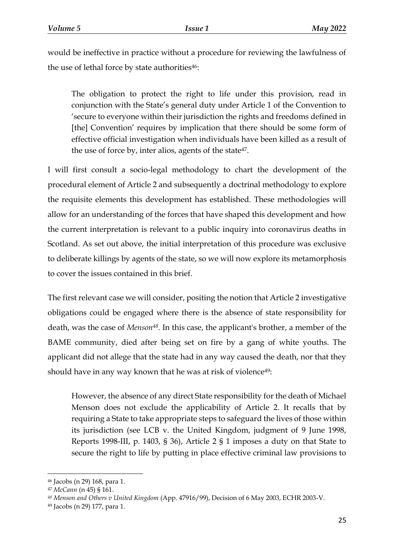would be ineffective in practice without a procedure for reviewing the lawfulness of the use of lethal force by state authorities $46$ :

The obligation to protect the right to life under this provision, read in conjunction with the State's general duty under Article 1 of the Convention to 'secure to everyone within their jurisdiction the rights and freedoms defined in [the] Convention' requires by implication that there should be some form of effective official investigation when individuals have been killed as a result of the use of force by, inter alios, agents of the state<sup>47</sup>.

I will first consult a socio-legal methodology to chart the development of the procedural element of Article 2 and subsequently a doctrinal methodology to explore the requisite elements this development has established. These methodologies will allow for an understanding of the forces that have shaped this development and how the current interpretation is relevant to a public inquiry into coronavirus deaths in Scotland. As set out above, the initial interpretation of this procedure was exclusive to deliberate killings by agents of the state, so we will now explore its metamorphosis to cover the issues contained in this brief.

The first relevant case we will consider, positing the notion that Article 2 investigative obligations could be engaged where there is the absence of state responsibility for death, was the case of *Menson48.* In this case, the applicant's brother, a member of the BAME community, died after being set on fire by a gang of white youths. The applicant did not allege that the state had in any way caused the death, nor that they should have in any way known that he was at risk of violence<sup>49</sup>:

However, the absence of any direct State responsibility for the death of Michael Menson does not exclude the applicability of Article 2. It recalls that by requiring a State to take appropriate steps to safeguard the lives of those within its jurisdiction (see LCB v. the United Kingdom, judgment of 9 June 1998, Reports 1998-III, p. 1403, § 36), Article 2 § 1 imposes a duty on that State to secure the right to life by putting in place effective criminal law provisions to

<sup>46</sup> Jacobs (n 29) 168, para 1.

<sup>47</sup> *McCann* (n 45) § 161.

*<sup>48</sup> Menson and Others v United Kingdom* (App. 47916/99), Decision of 6 May 2003, ECHR 2003-V.

<sup>49</sup> Jacobs (n 29) 177, para 1.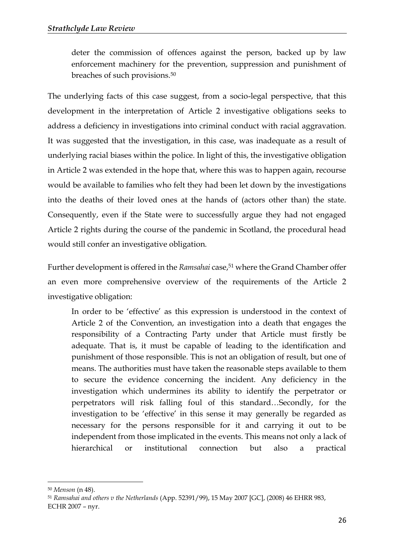deter the commission of offences against the person, backed up by law enforcement machinery for the prevention, suppression and punishment of breaches of such provisions.<sup>50</sup>

The underlying facts of this case suggest, from a socio-legal perspective, that this development in the interpretation of Article 2 investigative obligations seeks to address a deficiency in investigations into criminal conduct with racial aggravation. It was suggested that the investigation, in this case, was inadequate as a result of underlying racial biases within the police. In light of this, the investigative obligation in Article 2 was extended in the hope that, where this was to happen again, recourse would be available to families who felt they had been let down by the investigations into the deaths of their loved ones at the hands of (actors other than) the state. Consequently, even if the State were to successfully argue they had not engaged Article 2 rights during the course of the pandemic in Scotland, the procedural head would still confer an investigative obligation.

Further development is offered in the *Ramsahai* case,<sup>51</sup> where the Grand Chamber offer an even more comprehensive overview of the requirements of the Article 2 investigative obligation:

In order to be 'effective' as this expression is understood in the context of Article 2 of the Convention, an investigation into a death that engages the responsibility of a Contracting Party under that Article must firstly be adequate. That is, it must be capable of leading to the identification and punishment of those responsible. This is not an obligation of result, but one of means. The authorities must have taken the reasonable steps available to them to secure the evidence concerning the incident. Any deficiency in the investigation which undermines its ability to identify the perpetrator or perpetrators will risk falling foul of this standard…Secondly, for the investigation to be 'effective' in this sense it may generally be regarded as necessary for the persons responsible for it and carrying it out to be independent from those implicated in the events. This means not only a lack of hierarchical or institutional connection but also a practical

<sup>50</sup> *Menson* (n 48).

<sup>51</sup> *Ramsahai and others v the Netherlands* (App. 52391/99), 15 May 2007 [GC], (2008) 46 EHRR 983, ECHR 2007 – nyr.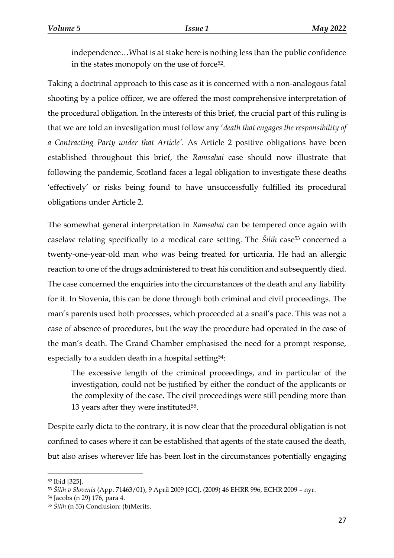independence…What is at stake here is nothing less than the public confidence in the states monopoly on the use of force<sup>52</sup>.

Taking a doctrinal approach to this case as it is concerned with a non-analogous fatal shooting by a police officer, we are offered the most comprehensive interpretation of the procedural obligation. In the interests of this brief, the crucial part of this ruling is that we are told an investigation must follow any '*death that engages the responsibility of a Contracting Party under that Article'.* As Article 2 positive obligations have been established throughout this brief, the *Ramsahai* case should now illustrate that following the pandemic, Scotland faces a legal obligation to investigate these deaths 'effectively' or risks being found to have unsuccessfully fulfilled its procedural obligations under Article 2.

The somewhat general interpretation in *Ramsahai* can be tempered once again with caselaw relating specifically to a medical care setting. The *Silih* case<sup>53</sup> concerned a twenty-one-year-old man who was being treated for urticaria. He had an allergic reaction to one of the drugs administered to treat his condition and subsequently died. The case concerned the enquiries into the circumstances of the death and any liability for it. In Slovenia, this can be done through both criminal and civil proceedings. The man's parents used both processes, which proceeded at a snail's pace. This was not a case of absence of procedures, but the way the procedure had operated in the case of the man's death. The Grand Chamber emphasised the need for a prompt response, especially to a sudden death in a hospital setting<sup>54</sup>:

The excessive length of the criminal proceedings, and in particular of the investigation, could not be justified by either the conduct of the applicants or the complexity of the case. The civil proceedings were still pending more than 13 years after they were instituted $55$ .

Despite early dicta to the contrary, it is now clear that the procedural obligation is not confined to cases where it can be established that agents of the state caused the death, but also arises wherever life has been lost in the circumstances potentially engaging

<sup>52</sup> Ibid [325].

<sup>53</sup> *Šilih v Slovenia* (App. 71463/01), 9 April 2009 [GC], (2009) 46 EHRR 996, ECHR 2009 – nyr.

<sup>54</sup> Jacobs (n 29) 176, para 4.

<sup>55</sup> *Šilih* (n 53) Conclusion: (b)Merits.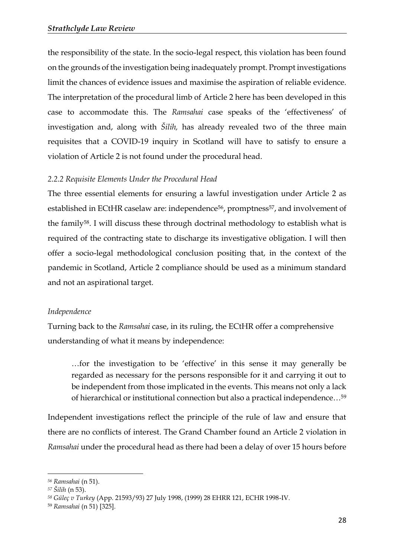the responsibility of the state. In the socio-legal respect, this violation has been found on the grounds of the investigation being inadequately prompt. Prompt investigations limit the chances of evidence issues and maximise the aspiration of reliable evidence. The interpretation of the procedural limb of Article 2 here has been developed in this case to accommodate this. The *Ramsahai* case speaks of the 'effectiveness' of investigation and, along with *Šilih,* has already revealed two of the three main requisites that a COVID-19 inquiry in Scotland will have to satisfy to ensure a violation of Article 2 is not found under the procedural head.

#### *2.2.2 Requisite Elements Under the Procedural Head*

The three essential elements for ensuring a lawful investigation under Article 2 as established in ECtHR caselaw are: independence<sup>56</sup>, promptness<sup>57</sup>, and involvement of the family58. I will discuss these through doctrinal methodology to establish what is required of the contracting state to discharge its investigative obligation. I will then offer a socio-legal methodological conclusion positing that, in the context of the pandemic in Scotland, Article 2 compliance should be used as a minimum standard and not an aspirational target.

#### *Independence*

Turning back to the *Ramsahai* case, in its ruling, the ECtHR offer a comprehensive understanding of what it means by independence:

…for the investigation to be 'effective' in this sense it may generally be regarded as necessary for the persons responsible for it and carrying it out to be independent from those implicated in the events. This means not only a lack of hierarchical or institutional connection but also a practical independence…<sup>59</sup>

Independent investigations reflect the principle of the rule of law and ensure that there are no conflicts of interest. The Grand Chamber found an Article 2 violation in *Ramsahai* under the procedural head as there had been a delay of over 15 hours before

*<sup>56</sup> Ramsahai* (n 51).

*<sup>57</sup> Šilih* (n 53).

*<sup>58</sup> Güleç v Turkey* (App. 21593/93) 27 July 1998, (1999) 28 EHRR 121, ECHR 1998-IV.

<sup>59</sup> *Ramsahai* (n 51) [325].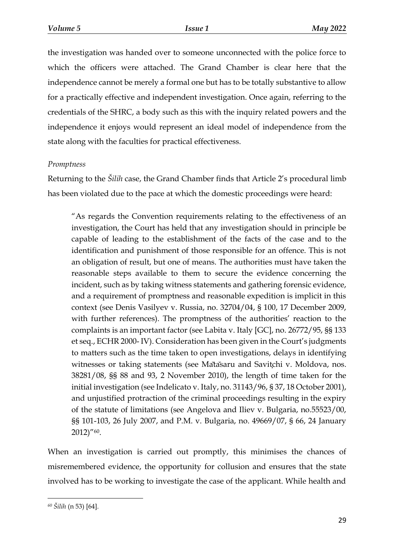the investigation was handed over to someone unconnected with the police force to which the officers were attached. The Grand Chamber is clear here that the independence cannot be merely a formal one but has to be totally substantive to allow for a practically effective and independent investigation. Once again, referring to the credentials of the SHRC, a body such as this with the inquiry related powers and the independence it enjoys would represent an ideal model of independence from the state along with the faculties for practical effectiveness.

## *Promptness*

Returning to the *Šilih* case, the Grand Chamber finds that Article 2's procedural limb has been violated due to the pace at which the domestic proceedings were heard:

"As regards the Convention requirements relating to the effectiveness of an investigation, the Court has held that any investigation should in principle be capable of leading to the establishment of the facts of the case and to the identification and punishment of those responsible for an offence. This is not an obligation of result, but one of means. The authorities must have taken the reasonable steps available to them to secure the evidence concerning the incident, such as by taking witness statements and gathering forensic evidence, and a requirement of promptness and reasonable expedition is implicit in this context (see Denis Vasilyev v. Russia, no. 32704/04, § 100, 17 December 2009, with further references). The promptness of the authorities' reaction to the complaints is an important factor (see Labita v. Italy [GC], no. 26772/95, §§ 133 et seq., ECHR 2000- IV). Consideration has been given in the Court's judgments to matters such as the time taken to open investigations, delays in identifying witnesses or taking statements (see Matasaru and Savitchi v. Moldova, nos. 38281/08, §§ 88 and 93, 2 November 2010), the length of time taken for the initial investigation (see Indelicato v. Italy, no. 31143/96, § 37, 18 October 2001), and unjustified protraction of the criminal proceedings resulting in the expiry of the statute of limitations (see Angelova and Iliev v. Bulgaria, no.55523/00, §§ 101-103, 26 July 2007, and P.M. v. Bulgaria, no. 49669/07, § 66, 24 January 2012)"60.

When an investigation is carried out promptly, this minimises the chances of misremembered evidence, the opportunity for collusion and ensures that the state involved has to be working to investigate the case of the applicant. While health and

*<sup>60</sup> Šilih* (n 53) [64].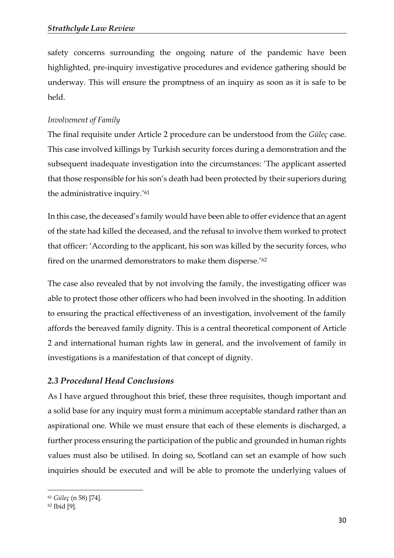safety concerns surrounding the ongoing nature of the pandemic have been highlighted, pre-inquiry investigative procedures and evidence gathering should be underway. This will ensure the promptness of an inquiry as soon as it is safe to be held.

## *Involvement of Family*

The final requisite under Article 2 procedure can be understood from the *Güleç* case. This case involved killings by Turkish security forces during a demonstration and the subsequent inadequate investigation into the circumstances: 'The applicant asserted that those responsible for his son's death had been protected by their superiors during the administrative inquiry.'<sup>61</sup>

In this case, the deceased's family would have been able to offer evidence that an agent of the state had killed the deceased, and the refusal to involve them worked to protect that officer: 'According to the applicant, his son was killed by the security forces, who fired on the unarmed demonstrators to make them disperse.'<sup>62</sup>

The case also revealed that by not involving the family, the investigating officer was able to protect those other officers who had been involved in the shooting. In addition to ensuring the practical effectiveness of an investigation, involvement of the family affords the bereaved family dignity. This is a central theoretical component of Article 2 and international human rights law in general, and the involvement of family in investigations is a manifestation of that concept of dignity.

# *2.3 Procedural Head Conclusions*

As I have argued throughout this brief, these three requisites, though important and a solid base for any inquiry must form a minimum acceptable standard rather than an aspirational one. While we must ensure that each of these elements is discharged, a further process ensuring the participation of the public and grounded in human rights values must also be utilised. In doing so, Scotland can set an example of how such inquiries should be executed and will be able to promote the underlying values of

<sup>61</sup> *Güleç* (n 58) [74].

<sup>62</sup> Ibid [9].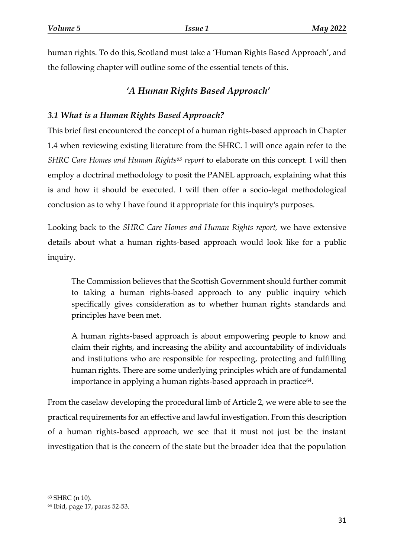human rights. To do this, Scotland must take a 'Human Rights Based Approach', and the following chapter will outline some of the essential tenets of this.

# *'A Human Rights Based Approach'*

# *3.1 What is a Human Rights Based Approach?*

This brief first encountered the concept of a human rights-based approach in Chapter 1.4 when reviewing existing literature from the SHRC. I will once again refer to the *SHRC Care Homes and Human Rights<sup>63</sup> report* to elaborate on this concept. I will then employ a doctrinal methodology to posit the PANEL approach, explaining what this is and how it should be executed. I will then offer a socio-legal methodological conclusion as to why I have found it appropriate for this inquiry's purposes.

Looking back to the *SHRC Care Homes and Human Rights report,* we have extensive details about what a human rights-based approach would look like for a public inquiry.

The Commission believes that the Scottish Government should further commit to taking a human rights-based approach to any public inquiry which specifically gives consideration as to whether human rights standards and principles have been met.

A human rights-based approach is about empowering people to know and claim their rights, and increasing the ability and accountability of individuals and institutions who are responsible for respecting, protecting and fulfilling human rights. There are some underlying principles which are of fundamental importance in applying a human rights-based approach in practice<sup>64</sup>.

From the caselaw developing the procedural limb of Article 2, we were able to see the practical requirements for an effective and lawful investigation. From this description of a human rights-based approach, we see that it must not just be the instant investigation that is the concern of the state but the broader idea that the population

<sup>63</sup> SHRC (n 10).

<sup>64</sup> Ibid, page 17, paras 52-53.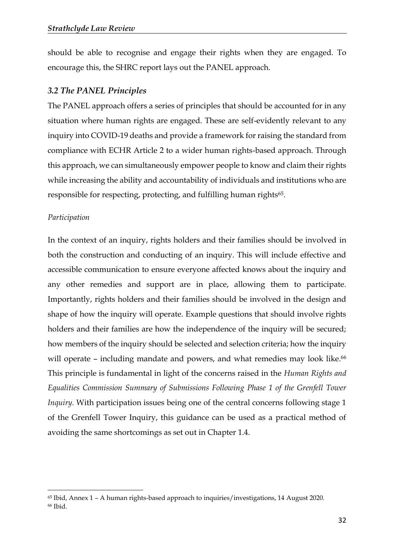should be able to recognise and engage their rights when they are engaged. To encourage this, the SHRC report lays out the PANEL approach.

## *3.2 The PANEL Principles*

The PANEL approach offers a series of principles that should be accounted for in any situation where human rights are engaged. These are self-evidently relevant to any inquiry into COVID-19 deaths and provide a framework for raising the standard from compliance with ECHR Article 2 to a wider human rights-based approach. Through this approach, we can simultaneously empower people to know and claim their rights while increasing the ability and accountability of individuals and institutions who are responsible for respecting, protecting, and fulfilling human rights<sup>65</sup>.

#### *Participation*

 $\overline{a}$ 

In the context of an inquiry, rights holders and their families should be involved in both the construction and conducting of an inquiry. This will include effective and accessible communication to ensure everyone affected knows about the inquiry and any other remedies and support are in place, allowing them to participate. Importantly, rights holders and their families should be involved in the design and shape of how the inquiry will operate. Example questions that should involve rights holders and their families are how the independence of the inquiry will be secured; how members of the inquiry should be selected and selection criteria; how the inquiry will operate – including mandate and powers, and what remedies may look like.<sup>66</sup> This principle is fundamental in light of the concerns raised in the *Human Rights and Equalities Commission Summary of Submissions Following Phase 1 of the Grenfell Tower Inquiry*. With participation issues being one of the central concerns following stage 1 of the Grenfell Tower Inquiry, this guidance can be used as a practical method of avoiding the same shortcomings as set out in Chapter 1.4.

<sup>65</sup> Ibid, Annex 1 – A human rights-based approach to inquiries/investigations, 14 August 2020. <sup>66</sup> Ibid.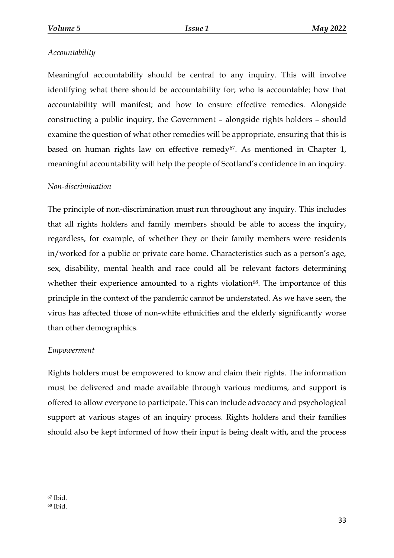## *Accountability*

Meaningful accountability should be central to any inquiry. This will involve identifying what there should be accountability for; who is accountable; how that accountability will manifest; and how to ensure effective remedies. Alongside constructing a public inquiry, the Government – alongside rights holders – should examine the question of what other remedies will be appropriate, ensuring that this is based on human rights law on effective remedy<sup>67</sup>. As mentioned in Chapter 1, meaningful accountability will help the people of Scotland's confidence in an inquiry.

#### *Non-discrimination*

The principle of non-discrimination must run throughout any inquiry. This includes that all rights holders and family members should be able to access the inquiry, regardless, for example, of whether they or their family members were residents in/worked for a public or private care home. Characteristics such as a person's age, sex, disability, mental health and race could all be relevant factors determining whether their experience amounted to a rights violation<sup>68</sup>. The importance of this principle in the context of the pandemic cannot be understated. As we have seen, the virus has affected those of non-white ethnicities and the elderly significantly worse than other demographics.

#### *Empowerment*

Rights holders must be empowered to know and claim their rights. The information must be delivered and made available through various mediums, and support is offered to allow everyone to participate. This can include advocacy and psychological support at various stages of an inquiry process. Rights holders and their families should also be kept informed of how their input is being dealt with, and the process

<sup>67</sup> Ibid.

<sup>68</sup> Ibid.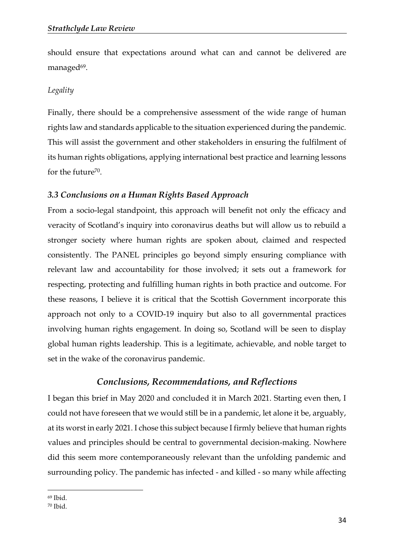should ensure that expectations around what can and cannot be delivered are managed<sup>69</sup>.

#### *Legality*

Finally, there should be a comprehensive assessment of the wide range of human rights law and standards applicable to the situation experienced during the pandemic. This will assist the government and other stakeholders in ensuring the fulfilment of its human rights obligations, applying international best practice and learning lessons for the future<sup>70</sup>.

#### *3.3 Conclusions on a Human Rights Based Approach*

From a socio-legal standpoint, this approach will benefit not only the efficacy and veracity of Scotland's inquiry into coronavirus deaths but will allow us to rebuild a stronger society where human rights are spoken about, claimed and respected consistently. The PANEL principles go beyond simply ensuring compliance with relevant law and accountability for those involved; it sets out a framework for respecting, protecting and fulfilling human rights in both practice and outcome. For these reasons, I believe it is critical that the Scottish Government incorporate this approach not only to a COVID-19 inquiry but also to all governmental practices involving human rights engagement. In doing so, Scotland will be seen to display global human rights leadership. This is a legitimate, achievable, and noble target to set in the wake of the coronavirus pandemic.

#### *Conclusions, Recommendations, and Reflections*

I began this brief in May 2020 and concluded it in March 2021. Starting even then, I could not have foreseen that we would still be in a pandemic, let alone it be, arguably, at its worst in early 2021. I chose this subject because I firmly believe that human rights values and principles should be central to governmental decision-making. Nowhere did this seem more contemporaneously relevant than the unfolding pandemic and surrounding policy. The pandemic has infected - and killed - so many while affecting

 $\overline{a}$ <sup>69</sup> Ibid.

<sup>70</sup> Ibid.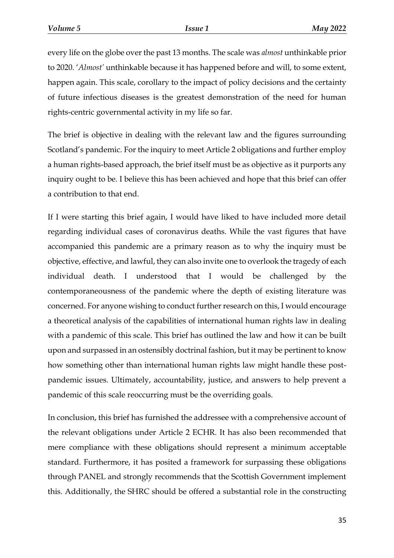every life on the globe over the past 13 months. The scale was *almost* unthinkable prior to 2020. '*Almost'* unthinkable because it has happened before and will, to some extent, happen again. This scale, corollary to the impact of policy decisions and the certainty of future infectious diseases is the greatest demonstration of the need for human rights-centric governmental activity in my life so far.

The brief is objective in dealing with the relevant law and the figures surrounding Scotland's pandemic. For the inquiry to meet Article 2 obligations and further employ a human rights-based approach, the brief itself must be as objective as it purports any inquiry ought to be. I believe this has been achieved and hope that this brief can offer a contribution to that end.

If I were starting this brief again, I would have liked to have included more detail regarding individual cases of coronavirus deaths. While the vast figures that have accompanied this pandemic are a primary reason as to why the inquiry must be objective, effective, and lawful, they can also invite one to overlook the tragedy of each individual death. I understood that I would be challenged by the contemporaneousness of the pandemic where the depth of existing literature was concerned. For anyone wishing to conduct further research on this, I would encourage a theoretical analysis of the capabilities of international human rights law in dealing with a pandemic of this scale. This brief has outlined the law and how it can be built upon and surpassed in an ostensibly doctrinal fashion, but it may be pertinent to know how something other than international human rights law might handle these postpandemic issues. Ultimately, accountability, justice, and answers to help prevent a pandemic of this scale reoccurring must be the overriding goals.

In conclusion, this brief has furnished the addressee with a comprehensive account of the relevant obligations under Article 2 ECHR. It has also been recommended that mere compliance with these obligations should represent a minimum acceptable standard. Furthermore, it has posited a framework for surpassing these obligations through PANEL and strongly recommends that the Scottish Government implement this. Additionally, the SHRC should be offered a substantial role in the constructing